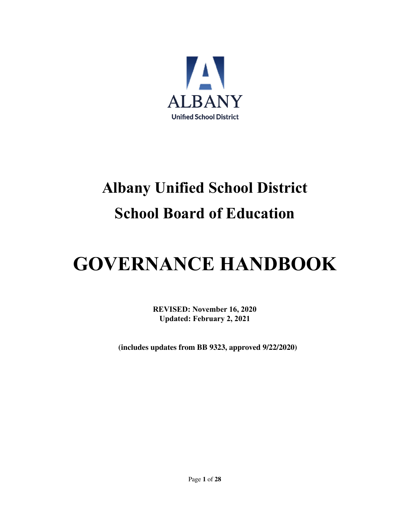

## **Albany Unified School District School Board of Education**

# **GOVERNANCE HANDBOOK**

**REVISED: November 16, 2020 Updated: February 2, 2021**

**(includes updates from BB 9323, approved 9/22/2020)**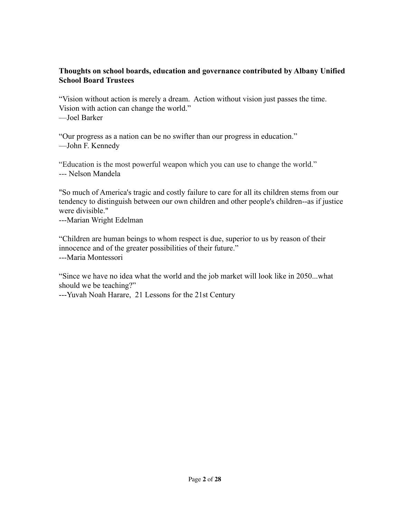#### **Thoughts on school boards, education and governance contributed by Albany Unified School Board Trustees**

"Vision without action is merely a dream. Action without vision just passes the time. Vision with action can change the world." —Joel Barker

"Our progress as a nation can be no swifter than our progress in education." —John F. Kennedy

"Education is the most powerful weapon which you can use to change the world." --- [Nelson Mandela](http://www.goodreads.com/author/show/367338.Nelson_Mandela)

"So much of America's tragic and costly failure to care for all its children stems from our tendency to distinguish between our own children and other people's children--as if justice were divisible."

---Marian Wright Edelman

"Children are human beings to whom respect is due, superior to us by reason of their innocence and of the greater possibilities of their future." ---Maria Montessori

"Since we have no idea what the world and the job market will look like in 2050...what should we be teaching?"

---Yuvah Noah Harare, 21 Lessons for the 21st Century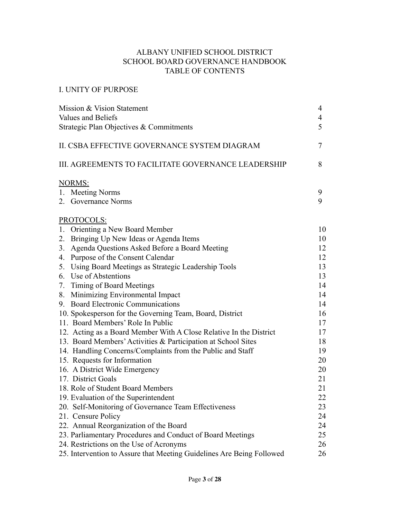#### ALBANY UNIFIED SCHOOL DISTRICT SCHOOL BOARD GOVERNANCE HANDBOOK TABLE OF CONTENTS

#### I. UNITY OF PURPOSE

| Mission & Vision Statement<br>Values and Beliefs<br>Strategic Plan Objectives & Commitments | 4<br>4<br>5 |
|---------------------------------------------------------------------------------------------|-------------|
| II. CSBA EFFECTIVE GOVERNANCE SYSTEM DIAGRAM                                                | 7           |
| III. AGREEMENTS TO FACILITATE GOVERNANCE LEADERSHIP                                         | 8           |
| <b>NORMS:</b>                                                                               |             |
| 1. Meeting Norms                                                                            | 9           |
| 2. Governance Norms                                                                         | 9           |
| PROTOCOLS:                                                                                  |             |
| 1. Orienting a New Board Member                                                             | 10          |
| 2. Bringing Up New Ideas or Agenda Items                                                    | 10          |
| 3. Agenda Questions Asked Before a Board Meeting                                            | 12          |
| 4. Purpose of the Consent Calendar                                                          | 12          |
| 5. Using Board Meetings as Strategic Leadership Tools                                       | 13          |
| 6. Use of Abstentions                                                                       | 13          |
| 7. Timing of Board Meetings                                                                 | 14          |
| 8. Minimizing Environmental Impact                                                          | 14          |
| 9. Board Electronic Communications                                                          | 14          |
| 10. Spokesperson for the Governing Team, Board, District                                    | 16          |
| 11. Board Members' Role In Public                                                           | 17          |
| 12. Acting as a Board Member With A Close Relative In the District                          | 17          |
| 13. Board Members' Activities & Participation at School Sites                               | 18          |
| 14. Handling Concerns/Complaints from the Public and Staff                                  | 19          |
| 15. Requests for Information                                                                | 20          |
| 16. A District Wide Emergency                                                               | 20          |
| 17. District Goals                                                                          | 21          |
| 18. Role of Student Board Members                                                           | 21          |
| 19. Evaluation of the Superintendent                                                        | 22          |
| 20. Self-Monitoring of Governance Team Effectiveness                                        | 23          |
| 21. Censure Policy                                                                          | 24          |
| 22. Annual Reorganization of the Board                                                      | 24          |
| 23. Parliamentary Procedures and Conduct of Board Meetings                                  | 25          |
| 24. Restrictions on the Use of Acronyms                                                     | 26          |
| 25. Intervention to Assure that Meeting Guidelines Are Being Followed                       | 26          |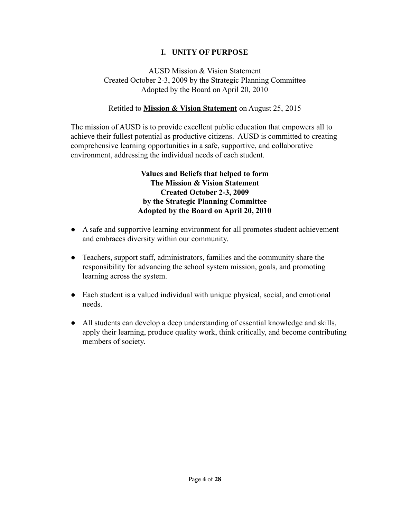#### **I. UNITY OF PURPOSE**

#### AUSD Mission & Vision Statement Created October 2-3, 2009 by the Strategic Planning Committee Adopted by the Board on April 20, 2010

#### Retitled to **Mission & Vision Statement** on August 25, 2015

The mission of AUSD is to provide excellent public education that empowers all to achieve their fullest potential as productive citizens. AUSD is committed to creating comprehensive learning opportunities in a safe, supportive, and collaborative environment, addressing the individual needs of each student.

#### **Values and Beliefs that helped to form The Mission & Vision Statement Created October 2-3, 2009 by the Strategic Planning Committee Adopted by the Board on April 20, 2010**

- A safe and supportive learning environment for all promotes student achievement and embraces diversity within our community.
- Teachers, support staff, administrators, families and the community share the responsibility for advancing the school system mission, goals, and promoting learning across the system.
- Each student is a valued individual with unique physical, social, and emotional needs.
- All students can develop a deep understanding of essential knowledge and skills, apply their learning, produce quality work, think critically, and become contributing members of society.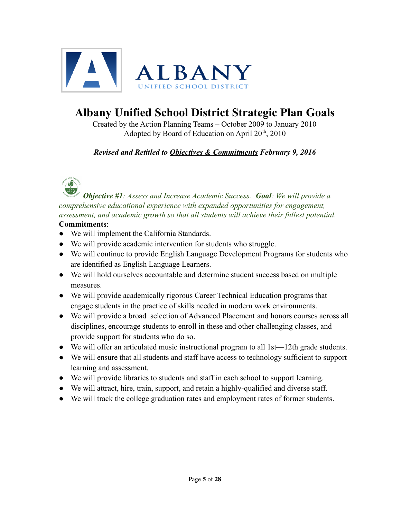

### **Albany Unified School District Strategic Plan Goals**

Created by the Action Planning Teams – October 2009 to January 2010 Adopted by Board of Education on April  $20<sup>th</sup>$ , 2010

*Revised and Retitled to Objectives & Commitments February 9, 2016*

*Objective #1: Assess and Increase Academic Success. Goal: We will provide a comprehensive educational experience with expanded opportunities for engagement, assessment, and academic growth so that all students will achieve their fullest potential.* **Commitments**:

- We will implement the California Standards.
- We will provide academic intervention for students who struggle.
- We will continue to provide English Language Development Programs for students who are identified as English Language Learners.
- We will hold ourselves accountable and determine student success based on multiple measures.
- We will provide academically rigorous Career Technical Education programs that engage students in the practice of skills needed in modern work environments.
- We will provide a broad selection of Advanced Placement and honors courses across all disciplines, encourage students to enroll in these and other challenging classes, and provide support for students who do so.
- We will offer an articulated music instructional program to all 1st—12th grade students.
- We will ensure that all students and staff have access to technology sufficient to support learning and assessment.
- We will provide libraries to students and staff in each school to support learning.
- We will attract, hire, train, support, and retain a highly-qualified and diverse staff.
- We will track the college graduation rates and employment rates of former students.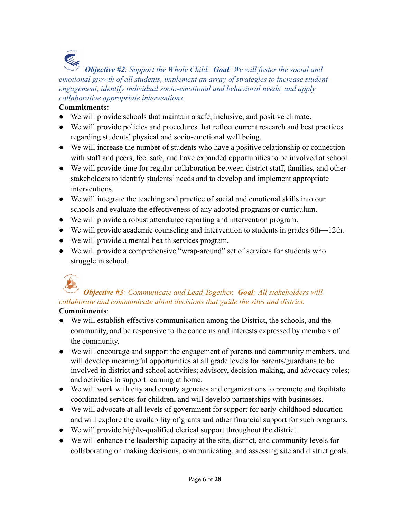### **Cash**

*Objective #2: Support the Whole Child. Goal: We will foster the social and emotional growth of all students, implement an array of strategies to increase student engagement, identify individual socio-emotional and behavioral needs, and apply collaborative appropriate interventions.*

#### **Commitments:**

- We will provide schools that maintain a safe, inclusive, and positive climate.
- We will provide policies and procedures that reflect current research and best practices regarding students' physical and socio-emotional well being.
- We will increase the number of students who have a positive relationship or connection with staff and peers, feel safe, and have expanded opportunities to be involved at school.
- We will provide time for regular collaboration between district staff, families, and other stakeholders to identify students' needs and to develop and implement appropriate interventions.
- We will integrate the teaching and practice of social and emotional skills into our schools and evaluate the effectiveness of any adopted programs or curriculum.
- We will provide a robust attendance reporting and intervention program.
- We will provide academic counseling and intervention to students in grades 6th—12th.
- We will provide a mental health services program.
- We will provide a comprehensive "wrap-around" set of services for students who struggle in school.

### *Objective #3: Communicate and Lead Together. Goal: All stakeholders will collaborate and communicate about decisions that guide the sites and district.*

#### **Commitments**:

- We will establish effective communication among the District, the schools, and the community, and be responsive to the concerns and interests expressed by members of the community.
- We will encourage and support the engagement of parents and community members, and will develop meaningful opportunities at all grade levels for parents/guardians to be involved in district and school activities; advisory, decision-making, and advocacy roles; and activities to support learning at home.
- We will work with city and county agencies and organizations to promote and facilitate coordinated services for children, and will develop partnerships with businesses.
- We will advocate at all levels of government for support for early-childhood education and will explore the availability of grants and other financial support for such programs.
- We will provide highly-qualified clerical support throughout the district.
- We will enhance the leadership capacity at the site, district, and community levels for collaborating on making decisions, communicating, and assessing site and district goals.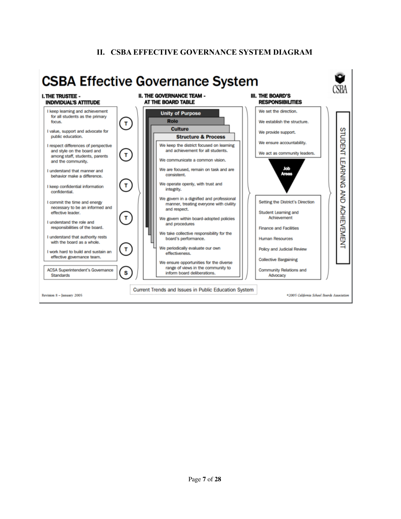#### **II. CSBA EFFECTIVE GOVERNANCE SYSTEM DIAGRAM**

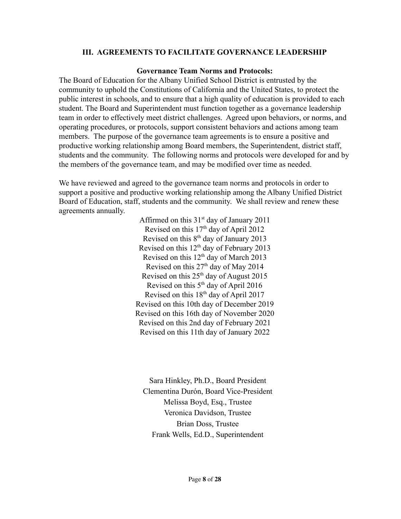#### **III. AGREEMENTS TO FACILITATE GOVERNANCE LEADERSHIP**

#### **Governance Team Norms and Protocols:**

The Board of Education for the Albany Unified School District is entrusted by the community to uphold the Constitutions of California and the United States, to protect the public interest in schools, and to ensure that a high quality of education is provided to each student. The Board and Superintendent must function together as a governance leadership team in order to effectively meet district challenges. Agreed upon behaviors, or norms, and operating procedures, or protocols, support consistent behaviors and actions among team members. The purpose of the governance team agreements is to ensure a positive and productive working relationship among Board members, the Superintendent, district staff, students and the community. The following norms and protocols were developed for and by the members of the governance team, and may be modified over time as needed.

We have reviewed and agreed to the governance team norms and protocols in order to support a positive and productive working relationship among the Albany Unified District Board of Education, staff, students and the community. We shall review and renew these agreements annually.

> Affirmed on this  $31<sup>st</sup>$  day of January 2011 Revised on this  $17<sup>th</sup>$  day of April 2012 Revised on this 8th day of January 2013 Revised on this  $12<sup>th</sup>$  day of February 2013 Revised on this  $12<sup>th</sup>$  day of March 2013 Revised on this  $27<sup>th</sup>$  day of May 2014 Revised on this  $25<sup>th</sup>$  day of August 2015 Revised on this  $5<sup>th</sup>$  day of April 2016 Revised on this  $18<sup>th</sup>$  day of April 2017 Revised on this 10th day of December 2019 Revised on this 16th day of November 2020 Revised on this 2nd day of February 2021 Revised on this 11th day of January 2022

Sara Hinkley, Ph.D., Board President Clementina Durón, Board Vice-President Melissa Boyd, Esq., Trustee Veronica Davidson, Trustee Brian Doss, Trustee Frank Wells, Ed.D., Superintendent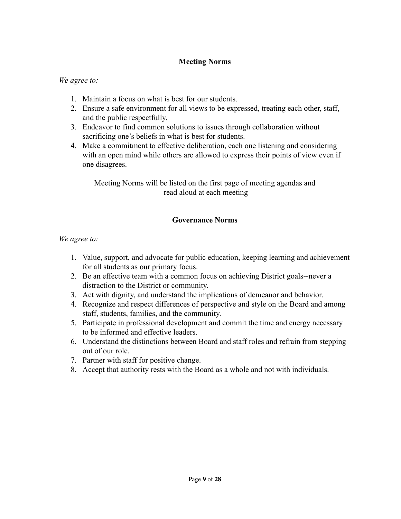#### **Meeting Norms**

*We agree to:*

- 1. Maintain a focus on what is best for our students.
- 2. Ensure a safe environment for all views to be expressed, treating each other, staff, and the public respectfully.
- 3. Endeavor to find common solutions to issues through collaboration without sacrificing one's beliefs in what is best for students.
- 4. Make a commitment to effective deliberation, each one listening and considering with an open mind while others are allowed to express their points of view even if one disagrees.

Meeting Norms will be listed on the first page of meeting agendas and read aloud at each meeting

#### **Governance Norms**

#### *We agree to:*

- 1. Value, support, and advocate for public education, keeping learning and achievement for all students as our primary focus.
- 2. Be an effective team with a common focus on achieving District goals--never a distraction to the District or community.
- 3. Act with dignity, and understand the implications of demeanor and behavior.
- 4. Recognize and respect differences of perspective and style on the Board and among staff, students, families, and the community.
- 5. Participate in professional development and commit the time and energy necessary to be informed and effective leaders.
- 6. Understand the distinctions between Board and staff roles and refrain from stepping out of our role.
- 7. Partner with staff for positive change.
- 8. Accept that authority rests with the Board as a whole and not with individuals.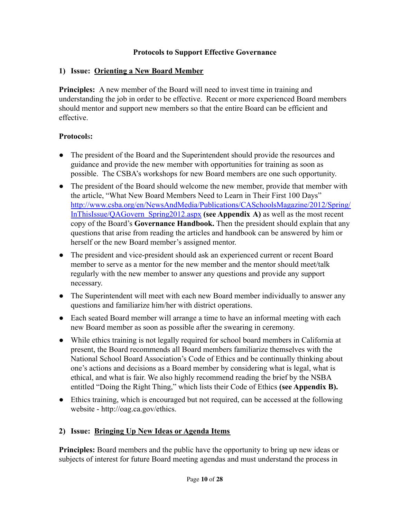#### **Protocols to Support Effective Governance**

#### **1) Issue: Orienting a New Board Member**

**Principles:** A new member of the Board will need to invest time in training and understanding the job in order to be effective. Recent or more experienced Board members should mentor and support new members so that the entire Board can be efficient and effective.

#### **Protocol**s**:**

- The president of the Board and the Superintendent should provide the resources and guidance and provide the new member with opportunities for training as soon as possible. The CSBA's workshops for new Board members are one such opportunity.
- The president of the Board should welcome the new member, provide that member with the article, "What New Board Members Need to Learn in Their First 100 Days" [http://www.csba.org/en/NewsAndMedia/Publications/CASchoolsMagazine/2012/Spring/](http://www.csba.org/en/NewsAndMedia/Publications/CASchoolsMagazine/2012/Spring/InThisIssue/QAGovern_Spring2012.aspx) [InThisIssue/QAGovern\\_Spring2012.aspx](http://www.csba.org/en/NewsAndMedia/Publications/CASchoolsMagazine/2012/Spring/InThisIssue/QAGovern_Spring2012.aspx) **(see Appendix A)** as well as the most recent copy of the Board's **Governance Handbook.** Then the president should explain that any questions that arise from reading the articles and handbook can be answered by him or herself or the new Board member's assigned mentor.
- The president and vice-president should ask an experienced current or recent Board member to serve as a mentor for the new member and the mentor should meet/talk regularly with the new member to answer any questions and provide any support necessary.
- The Superintendent will meet with each new Board member individually to answer any questions and familiarize him/her with district operations.
- Each seated Board member will arrange a time to have an informal meeting with each new Board member as soon as possible after the swearing in ceremony.
- While ethics training is not legally required for school board members in California at present, the Board recommends all Board members familiarize themselves with the National School Board Association's Code of Ethics and be continually thinking about one's actions and decisions as a Board member by considering what is legal, what is ethical, and what is fair. We also highly recommend reading the brief by the NSBA entitled "Doing the Right Thing," which lists their Code of Ethics **(see Appendix B).**
- Ethics training, which is encouraged but not required, can be accessed at the following website - [http://oag.ca.gov/ethics.](http://oag.ca.gov/ethics)

#### **2) Issue: Bringing Up New Ideas or Agenda Items**

**Principles:** Board members and the public have the opportunity to bring up new ideas or subjects of interest for future Board meeting agendas and must understand the process in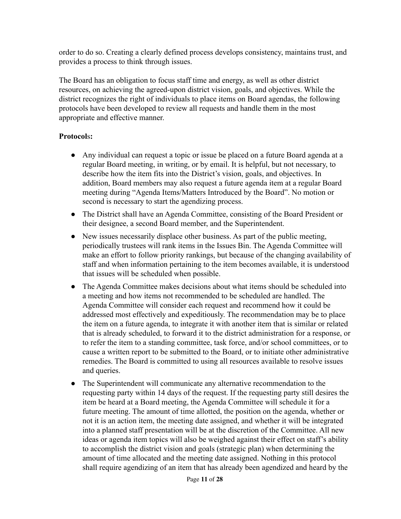order to do so. Creating a clearly defined process develops consistency, maintains trust, and provides a process to think through issues.

The Board has an obligation to focus staff time and energy, as well as other district resources, on achieving the agreed-upon district vision, goals, and objectives. While the district recognizes the right of individuals to place items on Board agendas, the following protocols have been developed to review all requests and handle them in the most appropriate and effective manner.

- Any individual can request a topic or issue be placed on a future Board agenda at a regular Board meeting, in writing, or by email. It is helpful, but not necessary, to describe how the item fits into the District's vision, goals, and objectives. In addition, Board members may also request a future agenda item at a regular Board meeting during "Agenda Items/Matters Introduced by the Board". No motion or second is necessary to start the agendizing process.
- The District shall have an Agenda Committee, consisting of the Board President or their designee, a second Board member, and the Superintendent.
- New issues necessarily displace other business. As part of the public meeting, periodically trustees will rank items in the Issues Bin. The Agenda Committee will make an effort to follow priority rankings, but because of the changing availability of staff and when information pertaining to the item becomes available, it is understood that issues will be scheduled when possible.
- The Agenda Committee makes decisions about what items should be scheduled into a meeting and how items not recommended to be scheduled are handled. The Agenda Committee will consider each request and recommend how it could be addressed most effectively and expeditiously. The recommendation may be to place the item on a future agenda, to integrate it with another item that is similar or related that is already scheduled, to forward it to the district administration for a response, or to refer the item to a standing committee, task force, and/or school committees, or to cause a written report to be submitted to the Board, or to initiate other administrative remedies. The Board is committed to using all resources available to resolve issues and queries.
- The Superintendent will communicate any alternative recommendation to the requesting party within 14 days of the request. If the requesting party still desires the item be heard at a Board meeting, the Agenda Committee will schedule it for a future meeting. The amount of time allotted, the position on the agenda, whether or not it is an action item, the meeting date assigned, and whether it will be integrated into a planned staff presentation will be at the discretion of the Committee. All new ideas or agenda item topics will also be weighed against their effect on staff's ability to accomplish the district vision and goals (strategic plan) when determining the amount of time allocated and the meeting date assigned. Nothing in this protocol shall require agendizing of an item that has already been agendized and heard by the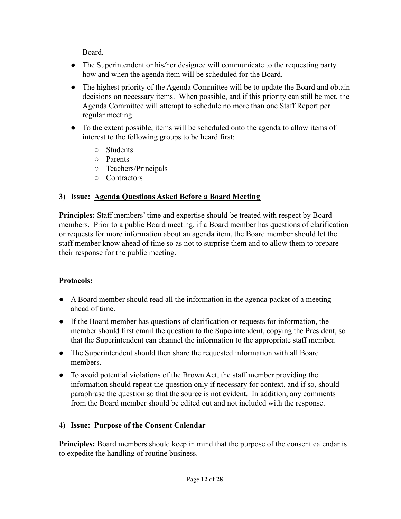Board.

- The Superintendent or his/her designee will communicate to the requesting party how and when the agenda item will be scheduled for the Board.
- The highest priority of the Agenda Committee will be to update the Board and obtain decisions on necessary items. When possible, and if this priority can still be met, the Agenda Committee will attempt to schedule no more than one Staff Report per regular meeting.
- To the extent possible, items will be scheduled onto the agenda to allow items of interest to the following groups to be heard first:
	- Students
	- Parents
	- Teachers/Principals
	- Contractors

#### **3) Issue: Agenda Questions Asked Before a Board Meeting**

**Principles:** Staff members' time and expertise should be treated with respect by Board members. Prior to a public Board meeting, if a Board member has questions of clarification or requests for more information about an agenda item, the Board member should let the staff member know ahead of time so as not to surprise them and to allow them to prepare their response for the public meeting.

#### **Protocols:**

- A Board member should read all the information in the agenda packet of a meeting ahead of time.
- If the Board member has questions of clarification or requests for information, the member should first email the question to the Superintendent, copying the President, so that the Superintendent can channel the information to the appropriate staff member.
- The Superintendent should then share the requested information with all Board members.
- To avoid potential violations of the Brown Act, the staff member providing the information should repeat the question only if necessary for context, and if so, should paraphrase the question so that the source is not evident. In addition, any comments from the Board member should be edited out and not included with the response.

#### **4) Issue: Purpose of the Consent Calendar**

**Principles:** Board members should keep in mind that the purpose of the consent calendar is to expedite the handling of routine business.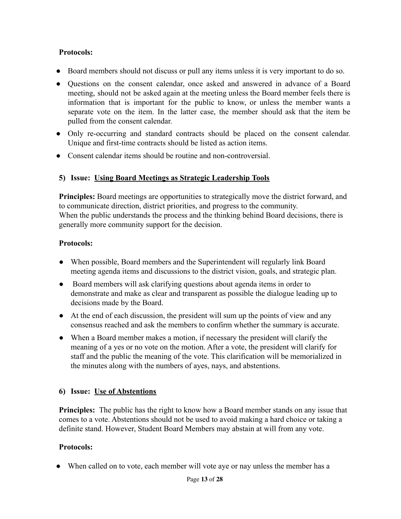#### **Protocols:**

- Board members should not discuss or pull any items unless it is very important to do so.
- Questions on the consent calendar, once asked and answered in advance of a Board meeting, should not be asked again at the meeting unless the Board member feels there is information that is important for the public to know, or unless the member wants a separate vote on the item. In the latter case, the member should ask that the item be pulled from the consent calendar.
- Only re-occurring and standard contracts should be placed on the consent calendar. Unique and first-time contracts should be listed as action items.
- Consent calendar items should be routine and non-controversial.

#### **5) Issue: Using Board Meetings as Strategic Leadership Tools**

**Principles:** Board meetings are opportunities to strategically move the district forward, and to communicate direction, district priorities, and progress to the community. When the public understands the process and the thinking behind Board decisions, there is generally more community support for the decision.

#### **Protocols:**

- When possible, Board members and the Superintendent will regularly link Board meeting agenda items and discussions to the district vision, goals, and strategic plan.
- Board members will ask clarifying questions about agenda items in order to demonstrate and make as clear and transparent as possible the dialogue leading up to decisions made by the Board.
- At the end of each discussion, the president will sum up the points of view and any consensus reached and ask the members to confirm whether the summary is accurate.
- When a Board member makes a motion, if necessary the president will clarify the meaning of a yes or no vote on the motion. After a vote, the president will clarify for staff and the public the meaning of the vote. This clarification will be memorialized in the minutes along with the numbers of ayes, nays, and abstentions.

#### **6) Issue: Use of Abstentions**

**Principles:** The public has the right to know how a Board member stands on any issue that comes to a vote. Abstentions should not be used to avoid making a hard choice or taking a definite stand. However, Student Board Members may abstain at will from any vote.

#### **Protocols:**

• When called on to vote, each member will vote aye or nay unless the member has a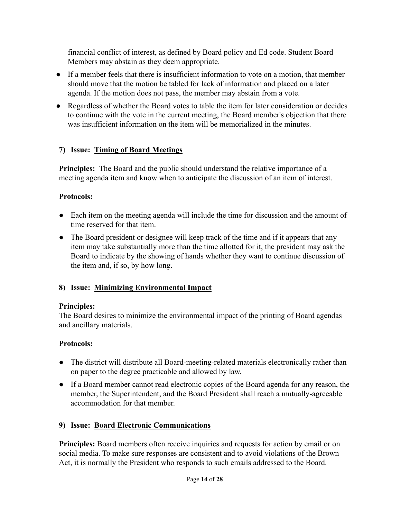financial conflict of interest, as defined by Board policy and Ed code. Student Board Members may abstain as they deem appropriate.

- If a member feels that there is insufficient information to vote on a motion, that member should move that the motion be tabled for lack of information and placed on a later agenda. If the motion does not pass, the member may abstain from a vote.
- Regardless of whether the Board votes to table the item for later consideration or decides to continue with the vote in the current meeting, the Board member's objection that there was insufficient information on the item will be memorialized in the minutes.

#### **7) Issue: Timing of Board Meetings**

**Principles:** The Board and the public should understand the relative importance of a meeting agenda item and know when to anticipate the discussion of an item of interest.

#### **Protocols:**

- Each item on the meeting agenda will include the time for discussion and the amount of time reserved for that item.
- The Board president or designee will keep track of the time and if it appears that any item may take substantially more than the time allotted for it, the president may ask the Board to indicate by the showing of hands whether they want to continue discussion of the item and, if so, by how long.

#### **8) Issue: Minimizing Environmental Impact**

#### **Principles:**

The Board desires to minimize the environmental impact of the printing of Board agendas and ancillary materials.

#### **Protocols:**

- The district will distribute all Board-meeting-related materials electronically rather than on paper to the degree practicable and allowed by law.
- If a Board member cannot read electronic copies of the Board agenda for any reason, the member, the Superintendent, and the Board President shall reach a mutually-agreeable accommodation for that member.

#### **9) Issue: Board Electronic Communications**

**Principles:** Board members often receive inquiries and requests for action by email or on social media. To make sure responses are consistent and to avoid violations of the Brown Act, it is normally the President who responds to such emails addressed to the Board.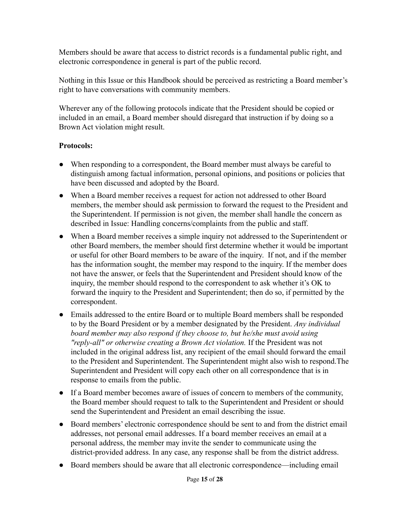Members should be aware that access to district records is a fundamental public right, and electronic correspondence in general is part of the public record.

Nothing in this Issue or this Handbook should be perceived as restricting a Board member's right to have conversations with community members.

Wherever any of the following protocols indicate that the President should be copied or included in an email, a Board member should disregard that instruction if by doing so a Brown Act violation might result.

- When responding to a correspondent, the Board member must always be careful to distinguish among factual information, personal opinions, and positions or policies that have been discussed and adopted by the Board.
- When a Board member receives a request for action not addressed to other Board members, the member should ask permission to forward the request to the President and the Superintendent. If permission is not given, the member shall handle the concern as described in Issue: Handling concerns/complaints from the public and staff.
- When a Board member receives a simple inquiry not addressed to the Superintendent or other Board members, the member should first determine whether it would be important or useful for other Board members to be aware of the inquiry. If not, and if the member has the information sought, the member may respond to the inquiry. If the member does not have the answer, or feels that the Superintendent and President should know of the inquiry, the member should respond to the correspondent to ask whether it's OK to forward the inquiry to the President and Superintendent; then do so, if permitted by the correspondent.
- Emails addressed to the entire Board or to multiple Board members shall be responded to by the Board President or by a member designated by the President. *Any individual board member may also respond if they choose to, but he/she must avoid using "reply-all" or otherwise creating a Brown Act violation.* If the President was not included in the original address list, any recipient of the email should forward the email to the President and Superintendent. The Superintendent might also wish to respond.The Superintendent and President will copy each other on all correspondence that is in response to emails from the public.
- If a Board member becomes aware of issues of concern to members of the community, the Board member should request to talk to the Superintendent and President or should send the Superintendent and President an email describing the issue.
- Board members' electronic correspondence should be sent to and from the district email addresses, not personal email addresses. If a board member receives an email at a personal address, the member may invite the sender to communicate using the district-provided address. In any case, any response shall be from the district address.
- Board members should be aware that all electronic correspondence—including email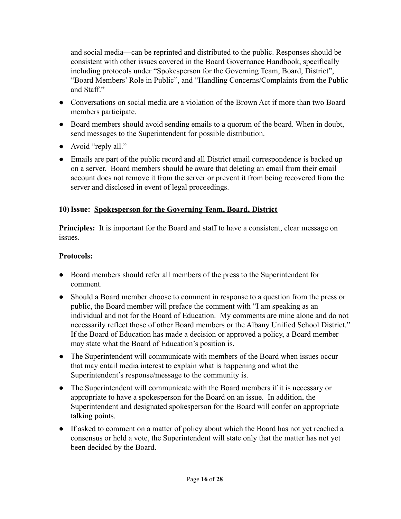and social media—can be reprinted and distributed to the public. Responses should be consistent with other issues covered in the Board Governance Handbook, specifically including protocols under "Spokesperson for the Governing Team, Board, District", "Board Members' Role in Public", and "Handling Concerns/Complaints from the Public and Staff."

- Conversations on social media are a violation of the Brown Act if more than two Board members participate.
- Board members should avoid sending emails to a quorum of the board. When in doubt, send messages to the Superintendent for possible distribution.
- Avoid "reply all."
- Emails are part of the public record and all District email correspondence is backed up on a server. Board members should be aware that deleting an email from their email account does not remove it from the server or prevent it from being recovered from the server and disclosed in event of legal proceedings.

#### **10)Issue: Spokesperson for the Governing Team, Board, District**

**Principles:** It is important for the Board and staff to have a consistent, clear message on issues.

- Board members should refer all members of the press to the Superintendent for comment.
- Should a Board member choose to comment in response to a question from the press or public, the Board member will preface the comment with "I am speaking as an individual and not for the Board of Education. My comments are mine alone and do not necessarily reflect those of other Board members or the Albany Unified School District." If the Board of Education has made a decision or approved a policy, a Board member may state what the Board of Education's position is.
- The Superintendent will communicate with members of the Board when issues occur that may entail media interest to explain what is happening and what the Superintendent's response/message to the community is.
- The Superintendent will communicate with the Board members if it is necessary or appropriate to have a spokesperson for the Board on an issue. In addition, the Superintendent and designated spokesperson for the Board will confer on appropriate talking points.
- If asked to comment on a matter of policy about which the Board has not yet reached a consensus or held a vote, the Superintendent will state only that the matter has not yet been decided by the Board.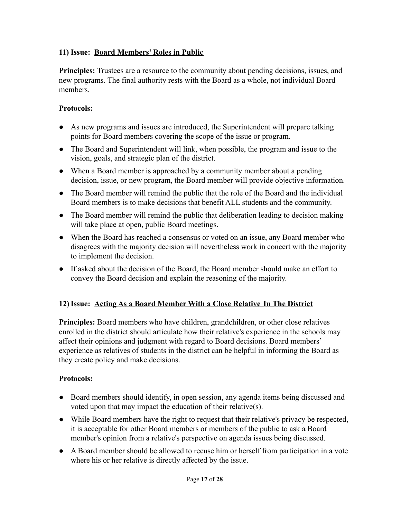#### **11) Issue: Board Members' Roles in Public**

**Principles:** Trustees are a resource to the community about pending decisions, issues, and new programs. The final authority rests with the Board as a whole, not individual Board members.

#### **Protocols:**

- As new programs and issues are introduced, the Superintendent will prepare talking points for Board members covering the scope of the issue or program.
- The Board and Superintendent will link, when possible, the program and issue to the vision, goals, and strategic plan of the district.
- When a Board member is approached by a community member about a pending decision, issue, or new program, the Board member will provide objective information.
- The Board member will remind the public that the role of the Board and the individual Board members is to make decisions that benefit ALL students and the community.
- The Board member will remind the public that deliberation leading to decision making will take place at open, public Board meetings.
- When the Board has reached a consensus or voted on an issue, any Board member who disagrees with the majority decision will nevertheless work in concert with the majority to implement the decision.
- If asked about the decision of the Board, the Board member should make an effort to convey the Board decision and explain the reasoning of the majority.

#### **12)Issue: Acting As a Board Member With a Close Relative In The District**

**Principles:** Board members who have children, grandchildren, or other close relatives enrolled in the district should articulate how their relative's experience in the schools may affect their opinions and judgment with regard to Board decisions. Board members' experience as relatives of students in the district can be helpful in informing the Board as they create policy and make decisions.

- Board members should identify, in open session, any agenda items being discussed and voted upon that may impact the education of their relative(s).
- While Board members have the right to request that their relative's privacy be respected, it is acceptable for other Board members or members of the public to ask a Board member's opinion from a relative's perspective on agenda issues being discussed.
- A Board member should be allowed to recuse him or herself from participation in a vote where his or her relative is directly affected by the issue.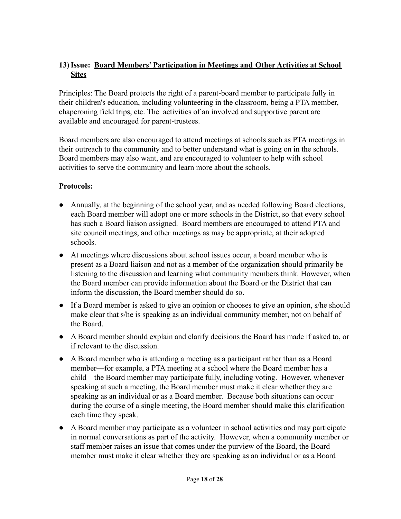#### **13)Issue: Board Members' Participation in Meetings and Other Activities at School Sites**

Principles: The Board protects the right of a parent-board member to participate fully in their children's education, including volunteering in the classroom, being a PTA member, chaperoning field trips, etc. The activities of an involved and supportive parent are available and encouraged for parent-trustees.

Board members are also encouraged to attend meetings at schools such as PTA meetings in their outreach to the community and to better understand what is going on in the schools. Board members may also want, and are encouraged to volunteer to help with school activities to serve the community and learn more about the schools.

- Annually, at the beginning of the school year, and as needed following Board elections, each Board member will adopt one or more schools in the District, so that every school has such a Board liaison assigned. Board members are encouraged to attend PTA and site council meetings, and other meetings as may be appropriate, at their adopted schools.
- At meetings where discussions about school issues occur, a board member who is present as a Board liaison and not as a member of the organization should primarily be listening to the discussion and learning what community members think. However, when the Board member can provide information about the Board or the District that can inform the discussion, the Board member should do so.
- If a Board member is asked to give an opinion or chooses to give an opinion, s/he should make clear that s/he is speaking as an individual community member, not on behalf of the Board.
- A Board member should explain and clarify decisions the Board has made if asked to, or if relevant to the discussion.
- A Board member who is attending a meeting as a participant rather than as a Board member—for example, a PTA meeting at a school where the Board member has a child—the Board member may participate fully, including voting. However, whenever speaking at such a meeting, the Board member must make it clear whether they are speaking as an individual or as a Board member. Because both situations can occur during the course of a single meeting, the Board member should make this clarification each time they speak.
- A Board member may participate as a volunteer in school activities and may participate in normal conversations as part of the activity. However, when a community member or staff member raises an issue that comes under the purview of the Board, the Board member must make it clear whether they are speaking as an individual or as a Board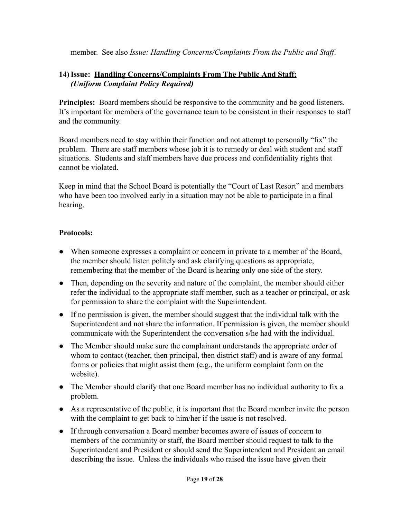member. See also *Issue: Handling Concerns/Complaints From the Public and Staff*.

#### **14)Issue: Handling Concerns/Complaints From The Public And Staff:** *(Uniform Complaint Policy Required)*

**Principles:** Board members should be responsive to the community and be good listeners. It's important for members of the governance team to be consistent in their responses to staff and the community.

Board members need to stay within their function and not attempt to personally "fix" the problem. There are staff members whose job it is to remedy or deal with student and staff situations. Students and staff members have due process and confidentiality rights that cannot be violated.

Keep in mind that the School Board is potentially the "Court of Last Resort" and members who have been too involved early in a situation may not be able to participate in a final hearing.

- When someone expresses a complaint or concern in private to a member of the Board, the member should listen politely and ask clarifying questions as appropriate, remembering that the member of the Board is hearing only one side of the story.
- Then, depending on the severity and nature of the complaint, the member should either refer the individual to the appropriate staff member, such as a teacher or principal, or ask for permission to share the complaint with the Superintendent.
- If no permission is given, the member should suggest that the individual talk with the Superintendent and not share the information. If permission is given, the member should communicate with the Superintendent the conversation s/he had with the individual.
- The Member should make sure the complainant understands the appropriate order of whom to contact (teacher, then principal, then district staff) and is aware of any formal forms or policies that might assist them (e.g., the uniform complaint form on the website).
- The Member should clarify that one Board member has no individual authority to fix a problem.
- As a representative of the public, it is important that the Board member invite the person with the complaint to get back to him/her if the issue is not resolved.
- If through conversation a Board member becomes aware of issues of concern to members of the community or staff, the Board member should request to talk to the Superintendent and President or should send the Superintendent and President an email describing the issue. Unless the individuals who raised the issue have given their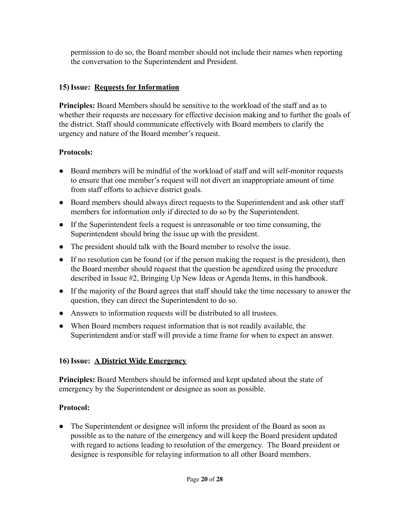permission to do so, the Board member should not include their names when reporting the conversation to the Superintendent and President.

#### **15)Issue: Requests for Information**

**Principles:** Board Members should be sensitive to the workload of the staff and as to whether their requests are necessary for effective decision making and to further the goals of the district. Staff should communicate effectively with Board members to clarify the urgency and nature of the Board member's request.

#### **Protocols:**

- Board members will be mindful of the workload of staff and will self-monitor requests to ensure that one member's request will not divert an inappropriate amount of time from staff efforts to achieve district goals.
- Board members should always direct requests to the Superintendent and ask other staff members for information only if directed to do so by the Superintendent.
- If the Superintendent feels a request is unreasonable or too time consuming, the Superintendent should bring the issue up with the president.
- The president should talk with the Board member to resolve the issue.
- If no resolution can be found (or if the person making the request is the president), then the Board member should request that the question be agendized using the procedure described in Issue #2, Bringing Up New Ideas or Agenda Items, in this handbook.
- If the majority of the Board agrees that staff should take the time necessary to answer the question, they can direct the Superintendent to do so.
- Answers to information requests will be distributed to all trustees.
- When Board members request information that is not readily available, the Superintendent and/or staff will provide a time frame for when to expect an answer.

#### **16)Issue: A District Wide Emergency**

**Principles:** Board Members should be informed and kept updated about the state of emergency by the Superintendent or designee as soon as possible.

#### **Protocol:**

• The Superintendent or designee will inform the president of the Board as soon as possible as to the nature of the emergency and will keep the Board president updated with regard to actions leading to resolution of the emergency. The Board president or designee is responsible for relaying information to all other Board members.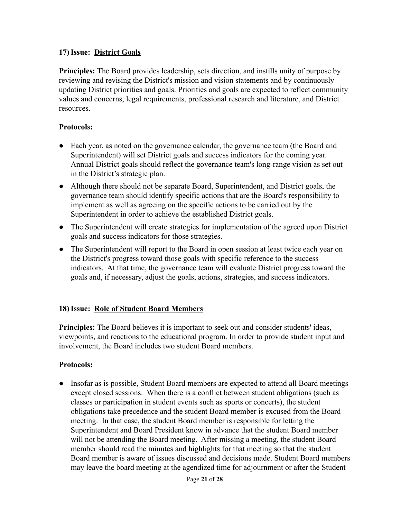#### **17)Issue: District Goals**

**Principles:** The Board provides leadership, sets direction, and instills unity of purpose by reviewing and revising the District's mission and vision statements and by continuously updating District priorities and goals. Priorities and goals are expected to reflect community values and concerns, legal requirements, professional research and literature, and District resources.

#### **Protocols:**

- Each year, as noted on the governance calendar, the governance team (the Board and Superintendent) will set District goals and success indicators for the coming year. Annual District goals should reflect the governance team's long-range vision as set out in the District's strategic plan.
- Although there should not be separate Board, Superintendent, and District goals, the governance team should identify specific actions that are the Board's responsibility to implement as well as agreeing on the specific actions to be carried out by the Superintendent in order to achieve the established District goals.
- The Superintendent will create strategies for implementation of the agreed upon District goals and success indicators for those strategies.
- The Superintendent will report to the Board in open session at least twice each year on the District's progress toward those goals with specific reference to the success indicators. At that time, the governance team will evaluate District progress toward the goals and, if necessary, adjust the goals, actions, strategies, and success indicators.

#### **18)Issue: Role of Student Board Members**

**Principles:** The Board believes it is important to seek out and consider students' ideas, viewpoints, and reactions to the educational program. In order to provide student input and involvement, the Board includes two student Board members.

#### **Protocols:**

● Insofar as is possible, Student Board members are expected to attend all Board meetings except closed sessions. When there is a conflict between student obligations (such as classes or participation in student events such as sports or concerts), the student obligations take precedence and the student Board member is excused from the Board meeting. In that case, the student Board member is responsible for letting the Superintendent and Board President know in advance that the student Board member will not be attending the Board meeting. After missing a meeting, the student Board member should read the minutes and highlights for that meeting so that the student Board member is aware of issues discussed and decisions made. Student Board members may leave the board meeting at the agendized time for adjournment or after the Student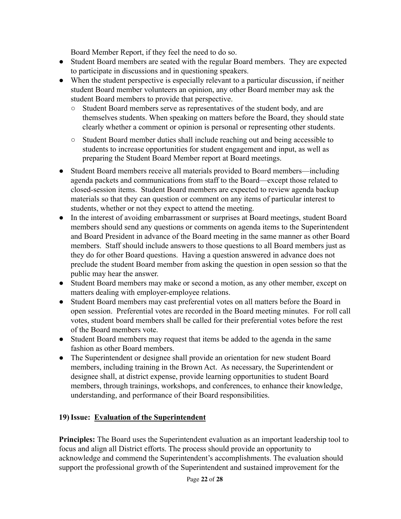Board Member Report, if they feel the need to do so.

- Student Board members are seated with the regular Board members. They are expected to participate in discussions and in questioning speakers.
- When the student perspective is especially relevant to a particular discussion, if neither student Board member volunteers an opinion, any other Board member may ask the student Board members to provide that perspective.
	- *○* Student Board members serve as representatives of the student body, and are themselves students. When speaking on matters before the Board, they should state clearly whether a comment or opinion is personal or representing other students.
	- Student Board member duties shall include reaching out and being accessible to students to increase opportunities for student engagement and input, as well as preparing the Student Board Member report at Board meetings.
- Student Board members receive all materials provided to Board members—including agenda packets and communications from staff to the Board—except those related to closed-session items. Student Board members are expected to review agenda backup materials so that they can question or comment on any items of particular interest to students, whether or not they expect to attend the meeting.
- In the interest of avoiding embarrassment or surprises at Board meetings, student Board members should send any questions or comments on agenda items to the Superintendent and Board President in advance of the Board meeting in the same manner as other Board members. Staff should include answers to those questions to all Board members just as they do for other Board questions. Having a question answered in advance does not preclude the student Board member from asking the question in open session so that the public may hear the answer.
- Student Board members may make or second a motion, as any other member, except on matters dealing with employer-employee relations.
- Student Board members may cast preferential votes on all matters before the Board in open session. Preferential votes are recorded in the Board meeting minutes. For roll call votes, student board members shall be called for their preferential votes before the rest of the Board members vote.
- Student Board members may request that items be added to the agenda in the same fashion as other Board members.
- The Superintendent or designee shall provide an orientation for new student Board members, including training in the Brown Act. As necessary, the Superintendent or designee shall, at district expense, provide learning opportunities to student Board members, through trainings, workshops, and conferences, to enhance their knowledge, understanding, and performance of their Board responsibilities.

#### **19)Issue: Evaluation of the Superintendent**

**Principles:** The Board uses the Superintendent evaluation as an important leadership tool to focus and align all District efforts. The process should provide an opportunity to acknowledge and commend the Superintendent's accomplishments. The evaluation should support the professional growth of the Superintendent and sustained improvement for the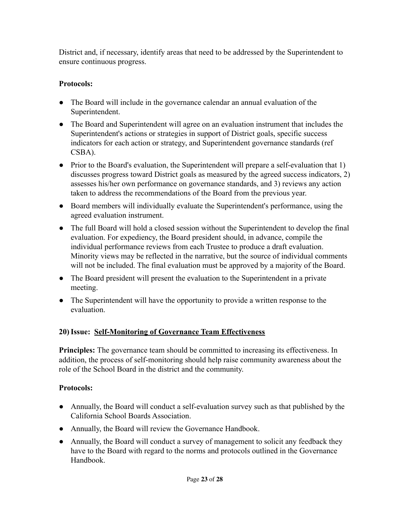District and, if necessary, identify areas that need to be addressed by the Superintendent to ensure continuous progress.

#### **Protocols:**

- The Board will include in the governance calendar an annual evaluation of the Superintendent.
- The Board and Superintendent will agree on an evaluation instrument that includes the Superintendent's actions or strategies in support of District goals, specific success indicators for each action or strategy, and Superintendent governance standards (ref CSBA).
- Prior to the Board's evaluation, the Superintendent will prepare a self-evaluation that 1) discusses progress toward District goals as measured by the agreed success indicators, 2) assesses his/her own performance on governance standards, and 3) reviews any action taken to address the recommendations of the Board from the previous year.
- Board members will individually evaluate the Superintendent's performance, using the agreed evaluation instrument.
- The full Board will hold a closed session without the Superintendent to develop the final evaluation. For expediency, the Board president should, in advance, compile the individual performance reviews from each Trustee to produce a draft evaluation. Minority views may be reflected in the narrative, but the source of individual comments will not be included. The final evaluation must be approved by a majority of the Board.
- The Board president will present the evaluation to the Superintendent in a private meeting.
- The Superintendent will have the opportunity to provide a written response to the evaluation.

#### **20)Issue: Self-Monitoring of Governance Team Effectiveness**

**Principles:** The governance team should be committed to increasing its effectiveness. In addition, the process of self-monitoring should help raise community awareness about the role of the School Board in the district and the community.

- Annually, the Board will conduct a self-evaluation survey such as that published by the California School Boards Association.
- Annually, the Board will review the Governance Handbook.
- Annually, the Board will conduct a survey of management to solicit any feedback they have to the Board with regard to the norms and protocols outlined in the Governance Handbook.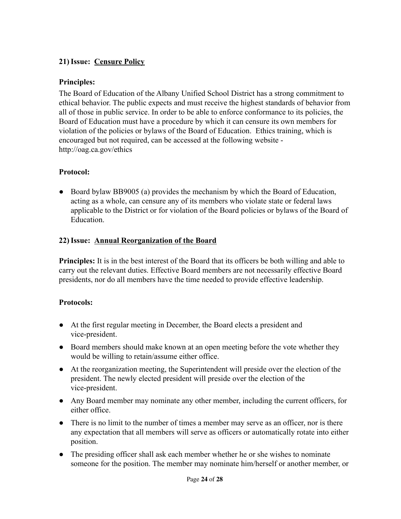#### **21)Issue: Censure Policy**

#### **Principles:**

The Board of Education of the Albany Unified School District has a strong commitment to ethical behavior. The public expects and must receive the highest standards of behavior from all of those in public service. In order to be able to enforce conformance to its policies, the Board of Education must have a procedure by which it can censure its own members for violation of the policies or bylaws of the Board of Education. Ethics training, which is encouraged but not required, can be accessed at the following website <http://oag.ca.gov/ethics>

#### **Protocol:**

• Board bylaw BB9005 (a) provides the mechanism by which the Board of Education, acting as a whole, can censure any of its members who violate state or federal laws applicable to the District or for violation of the Board policies or bylaws of the Board of **Education** 

#### **22)Issue: Annual Reorganization of the Board**

**Principles:** It is in the best interest of the Board that its officers be both willing and able to carry out the relevant duties. Effective Board members are not necessarily effective Board presidents, nor do all members have the time needed to provide effective leadership.

- At the first regular meeting in December, the Board elects a president and vice-president.
- Board members should make known at an open meeting before the vote whether they would be willing to retain/assume either office.
- At the reorganization meeting, the Superintendent will preside over the election of the president. The newly elected president will preside over the election of the vice-president.
- Any Board member may nominate any other member, including the current officers, for either office.
- There is no limit to the number of times a member may serve as an officer, nor is there any expectation that all members will serve as officers or automatically rotate into either position.
- The presiding officer shall ask each member whether he or she wishes to nominate someone for the position. The member may nominate him/herself or another member, or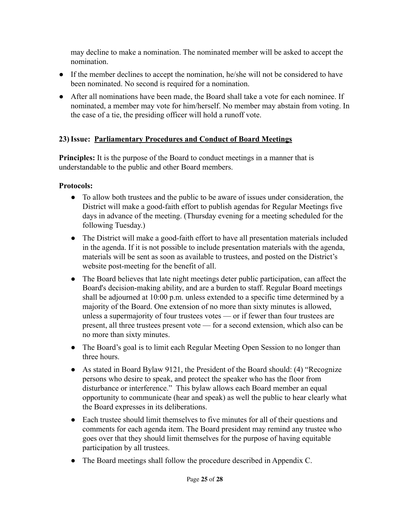may decline to make a nomination. The nominated member will be asked to accept the nomination.

- If the member declines to accept the nomination, he/she will not be considered to have been nominated. No second is required for a nomination.
- After all nominations have been made, the Board shall take a vote for each nominee. If nominated, a member may vote for him/herself. No member may abstain from voting. In the case of a tie, the presiding officer will hold a runoff vote.

#### **23)Issue: Parliamentary Procedures and Conduct of Board Meetings**

**Principles:** It is the purpose of the Board to conduct meetings in a manner that is understandable to the public and other Board members.

- To allow both trustees and the public to be aware of issues under consideration, the District will make a good-faith effort to publish agendas for Regular Meetings five days in advance of the meeting. (Thursday evening for a meeting scheduled for the following Tuesday.)
- The District will make a good-faith effort to have all presentation materials included in the agenda. If it is not possible to include presentation materials with the agenda, materials will be sent as soon as available to trustees, and posted on the District's website post-meeting for the benefit of all.
- The Board believes that late night meetings deter public participation, can affect the Board's decision-making ability, and are a burden to staff. Regular Board meetings shall be adjourned at 10:00 p.m. unless extended to a specific time determined by a majority of the Board. One extension of no more than sixty minutes is allowed, unless a supermajority of four trustees votes — or if fewer than four trustees are present, all three trustees present vote — for a second extension, which also can be no more than sixty minutes.
- The Board's goal is to limit each Regular Meeting Open Session to no longer than three hours.
- As stated in Board Bylaw 9121, the President of the Board should: (4) "Recognize persons who desire to speak, and protect the speaker who has the floor from disturbance or interference." This bylaw allows each Board member an equal opportunity to communicate (hear and speak) as well the public to hear clearly what the Board expresses in its deliberations.
- Each trustee should limit themselves to five minutes for all of their questions and comments for each agenda item. The Board president may remind any trustee who goes over that they should limit themselves for the purpose of having equitable participation by all trustees.
- The Board meetings shall follow the procedure described in Appendix C.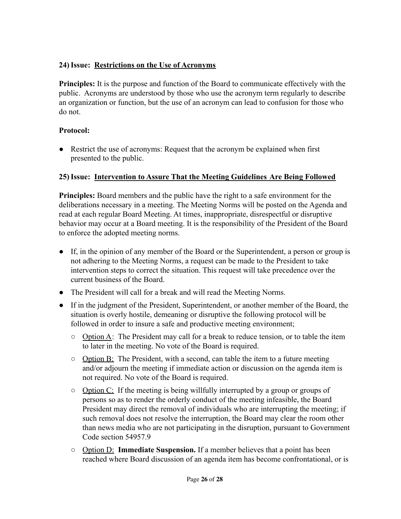#### **24)Issue: Restrictions on the Use of Acronyms**

**Principles:** It is the purpose and function of the Board to communicate effectively with the public. Acronyms are understood by those who use the acronym term regularly to describe an organization or function, but the use of an acronym can lead to confusion for those who do not.

#### **Protocol:**

● Restrict the use of acronyms: Request that the acronym be explained when first presented to the public.

#### **25)Issue: Intervention to Assure That the Meeting Guidelines Are Being Followed**

**Principles:** Board members and the public have the right to a safe environment for the deliberations necessary in a meeting. The Meeting Norms will be posted on the Agenda and read at each regular Board Meeting. At times, inappropriate, disrespectful or disruptive behavior may occur at a Board meeting. It is the responsibility of the President of the Board to enforce the adopted meeting norms.

- If, in the opinion of any member of the Board or the Superintendent, a person or group is not adhering to the Meeting Norms, a request can be made to the President to take intervention steps to correct the situation. This request will take precedence over the current business of the Board.
- The President will call for a break and will read the Meeting Norms.
- If in the judgment of the President, Superintendent, or another member of the Board, the situation is overly hostile, demeaning or disruptive the following protocol will be followed in order to insure a safe and productive meeting environment;
	- $\circ$  Option A: The President may call for a break to reduce tension, or to table the item to later in the meeting. No vote of the Board is required.
	- $\circ$  Option B: The President, with a second, can table the item to a future meeting and/or adjourn the meeting if immediate action or discussion on the agenda item is not required. No vote of the Board is required.
	- $\circ$  Option C: If the meeting is being willfully interrupted by a group or groups of persons so as to render the orderly conduct of the meeting infeasible, the Board President may direct the removal of individuals who are interrupting the meeting; if such removal does not resolve the interruption, the Board may clear the room other than news media who are not participating in the disruption, pursuant to Government Code section 54957.9
	- Option D: **Immediate Suspension.** If a member believes that a point has been reached where Board discussion of an agenda item has become confrontational, or is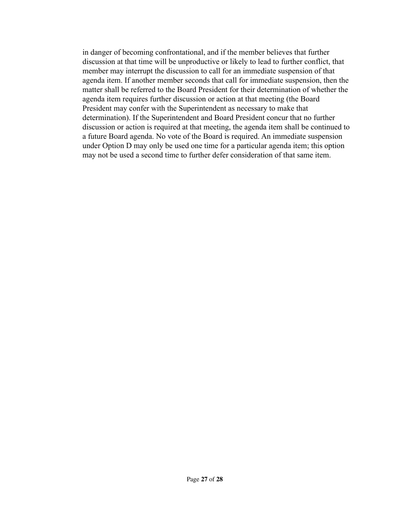in danger of becoming confrontational, and if the member believes that further discussion at that time will be unproductive or likely to lead to further conflict, that member may interrupt the discussion to call for an immediate suspension of that agenda item. If another member seconds that call for immediate suspension, then the matter shall be referred to the Board President for their determination of whether the agenda item requires further discussion or action at that meeting (the Board President may confer with the Superintendent as necessary to make that determination). If the Superintendent and Board President concur that no further discussion or action is required at that meeting, the agenda item shall be continued to a future Board agenda. No vote of the Board is required. An immediate suspension under Option D may only be used one time for a particular agenda item; this option may not be used a second time to further defer consideration of that same item.